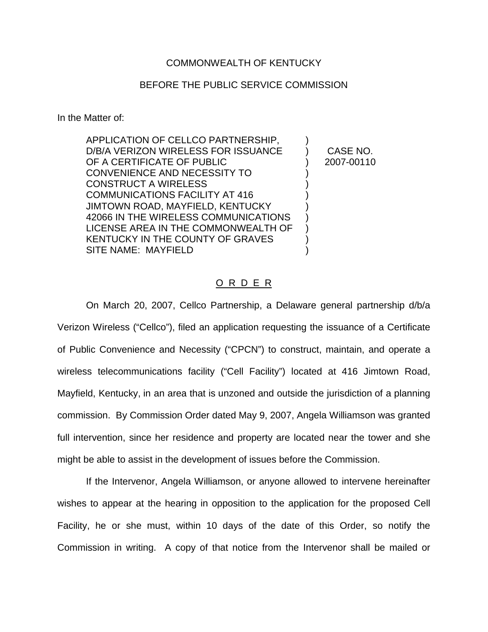## COMMONWEALTH OF KENTUCKY

## BEFORE THE PUBLIC SERVICE COMMISSION

In the Matter of:

APPLICATION OF CELLCO PARTNERSHIP, D/B/A VERIZON WIRELESS FOR ISSUANCE OF A CERTIFICATE OF PUBLIC CONVENIENCE AND NECESSITY TO CONSTRUCT A WIRELESS COMMUNICATIONS FACILITY AT 416 JIMTOWN ROAD, MAYFIELD, KENTUCKY 42066 IN THE WIRELESS COMMUNICATIONS LICENSE AREA IN THE COMMONWEALTH OF KENTUCKY IN THE COUNTY OF GRAVES SITE NAME: MAYFIELD ) ) CASE NO. ) 2007-00110 ) ) ) ) ) ) ) )

## O R D E R

On March 20, 2007, Cellco Partnership, a Delaware general partnership d/b/a Verizon Wireless ("Cellco"), filed an application requesting the issuance of a Certificate of Public Convenience and Necessity ("CPCN") to construct, maintain, and operate a wireless telecommunications facility ("Cell Facility") located at 416 Jimtown Road, Mayfield, Kentucky, in an area that is unzoned and outside the jurisdiction of a planning commission. By Commission Order dated May 9, 2007, Angela Williamson was granted full intervention, since her residence and property are located near the tower and she might be able to assist in the development of issues before the Commission.

If the Intervenor, Angela Williamson, or anyone allowed to intervene hereinafter wishes to appear at the hearing in opposition to the application for the proposed Cell Facility, he or she must, within 10 days of the date of this Order, so notify the Commission in writing. A copy of that notice from the Intervenor shall be mailed or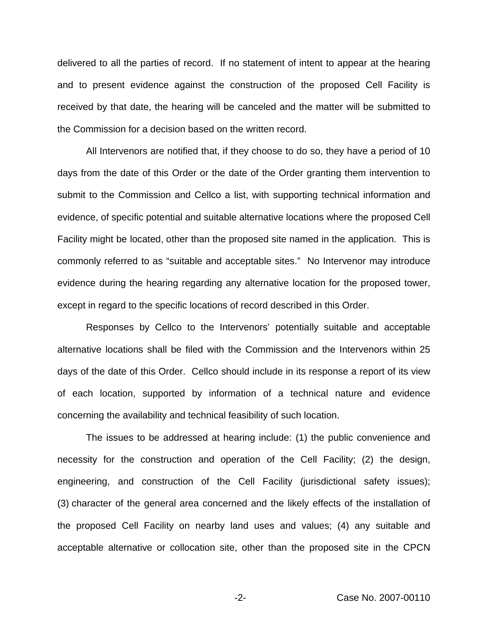delivered to all the parties of record. If no statement of intent to appear at the hearing and to present evidence against the construction of the proposed Cell Facility is received by that date, the hearing will be canceled and the matter will be submitted to the Commission for a decision based on the written record.

All Intervenors are notified that, if they choose to do so, they have a period of 10 days from the date of this Order or the date of the Order granting them intervention to submit to the Commission and Cellco a list, with supporting technical information and evidence, of specific potential and suitable alternative locations where the proposed Cell Facility might be located, other than the proposed site named in the application. This is commonly referred to as "suitable and acceptable sites." No Intervenor may introduce evidence during the hearing regarding any alternative location for the proposed tower, except in regard to the specific locations of record described in this Order.

Responses by Cellco to the Intervenors' potentially suitable and acceptable alternative locations shall be filed with the Commission and the Intervenors within 25 days of the date of this Order. Cellco should include in its response a report of its view of each location, supported by information of a technical nature and evidence concerning the availability and technical feasibility of such location.

The issues to be addressed at hearing include: (1) the public convenience and necessity for the construction and operation of the Cell Facility; (2) the design, engineering, and construction of the Cell Facility (jurisdictional safety issues); (3) character of the general area concerned and the likely effects of the installation of the proposed Cell Facility on nearby land uses and values; (4) any suitable and acceptable alternative or collocation site, other than the proposed site in the CPCN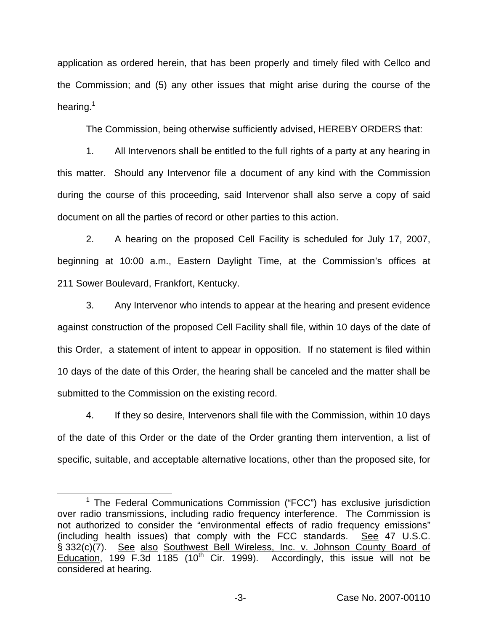application as ordered herein, that has been properly and timely filed with Cellco and the Commission; and (5) any other issues that might arise during the course of the hearing.<sup>1</sup>

The Commission, being otherwise sufficiently advised, HEREBY ORDERS that:

1. All Intervenors shall be entitled to the full rights of a party at any hearing in this matter. Should any Intervenor file a document of any kind with the Commission during the course of this proceeding, said Intervenor shall also serve a copy of said document on all the parties of record or other parties to this action.

2. A hearing on the proposed Cell Facility is scheduled for July 17, 2007, beginning at 10:00 a.m., Eastern Daylight Time, at the Commission's offices at 211 Sower Boulevard, Frankfort, Kentucky.

3. Any Intervenor who intends to appear at the hearing and present evidence against construction of the proposed Cell Facility shall file, within 10 days of the date of this Order, a statement of intent to appear in opposition. If no statement is filed within 10 days of the date of this Order, the hearing shall be canceled and the matter shall be submitted to the Commission on the existing record.

4. If they so desire, Intervenors shall file with the Commission, within 10 days of the date of this Order or the date of the Order granting them intervention, a list of specific, suitable, and acceptable alternative locations, other than the proposed site, for

<sup>&</sup>lt;sup>1</sup> The Federal Communications Commission ("FCC") has exclusive jurisdiction over radio transmissions, including radio frequency interference. The Commission is not authorized to consider the "environmental effects of radio frequency emissions" (including health issues) that comply with the FCC standards. See 47 U.S.C. § 332(c)(7). See also Southwest Bell Wireless, Inc. v. Johnson County Board of Education, 199 F.3d 1185 (10<sup>th</sup> Cir. 1999). Accordingly, this issue will not be considered at hearing.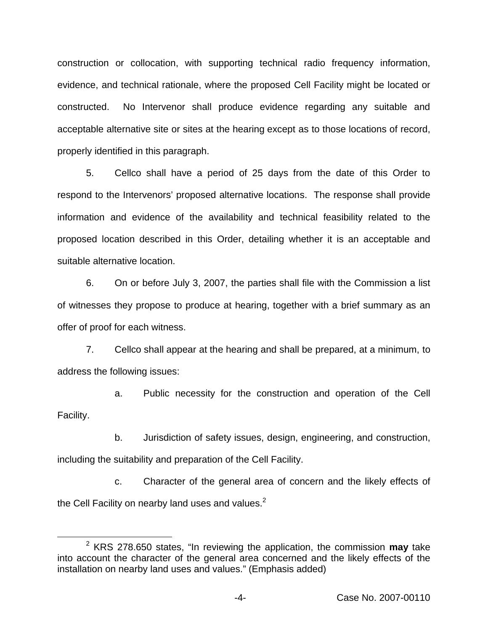construction or collocation, with supporting technical radio frequency information, evidence, and technical rationale, where the proposed Cell Facility might be located or constructed. No Intervenor shall produce evidence regarding any suitable and acceptable alternative site or sites at the hearing except as to those locations of record, properly identified in this paragraph.

5. Cellco shall have a period of 25 days from the date of this Order to respond to the Intervenors' proposed alternative locations. The response shall provide information and evidence of the availability and technical feasibility related to the proposed location described in this Order, detailing whether it is an acceptable and suitable alternative location.

6. On or before July 3, 2007, the parties shall file with the Commission a list of witnesses they propose to produce at hearing, together with a brief summary as an offer of proof for each witness.

7. Cellco shall appear at the hearing and shall be prepared, at a minimum, to address the following issues:

a. Public necessity for the construction and operation of the Cell Facility.

b. Jurisdiction of safety issues, design, engineering, and construction, including the suitability and preparation of the Cell Facility.

c. Character of the general area of concern and the likely effects of the Cell Facility on nearby land uses and values. $2^2$ 

<sup>2</sup> KRS 278.650 states, "In reviewing the application, the commission **may** take into account the character of the general area concerned and the likely effects of the installation on nearby land uses and values." (Emphasis added)